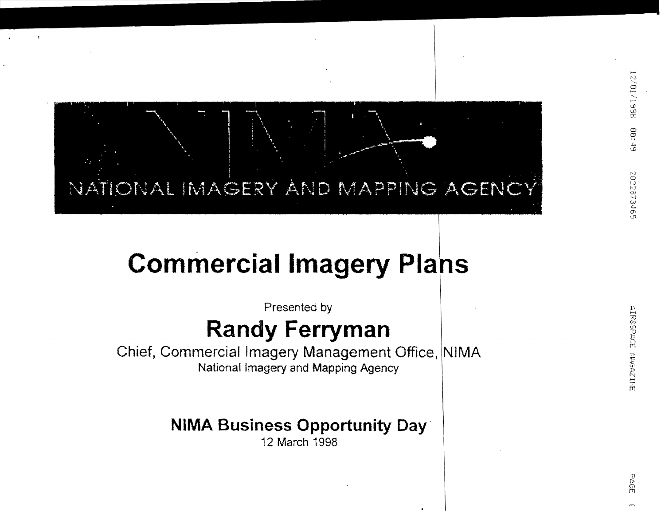# NATIONAL IMAGERY AND MAPPING AGENCY

## **Commercial Imagery Plans**

Presented by

#### **Randy Ferryman**

Chief, Commercial Imagery Management Office, NIMA National Imagery and Mapping Agency

#### **NIMA Business Opportunity Day**

12 March 1998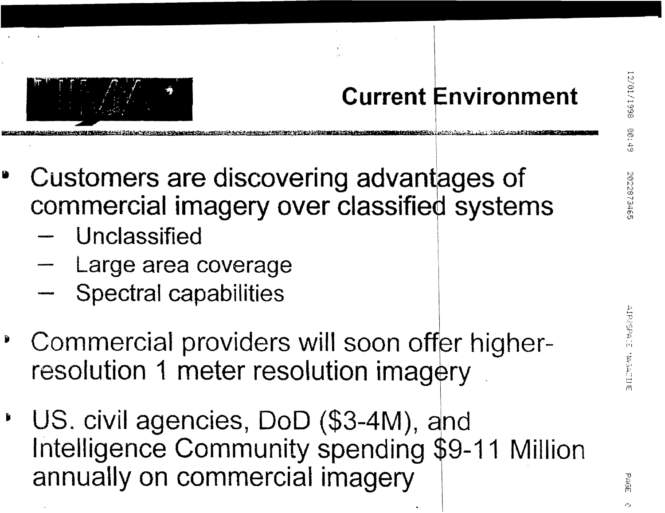### **Current Environment**



- Unclassified
- Large area coverage
- **Spectral capabilities**
- Commercial providers will soon offer higherresolution 1 meter resolution imagery
- US. civil agencies, DoD (\$3-4M), and Intelligence Community spending \$9-11 Million annually on commercial imagery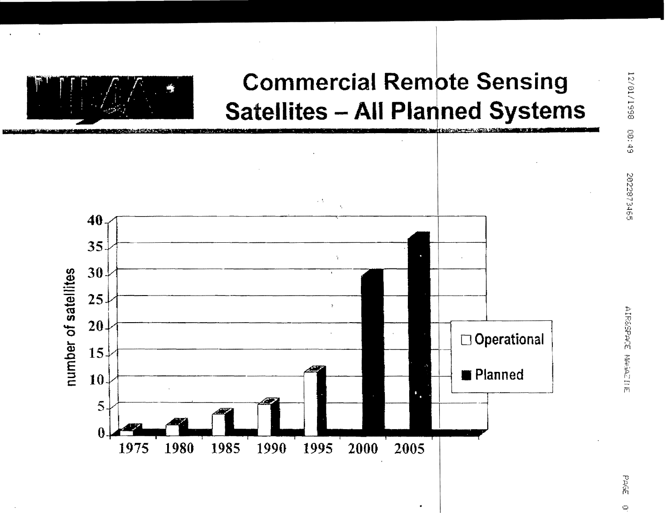

#### **Commercial Remote Sensing Satellites - All Planned Systems**



PAGE

 $\circ$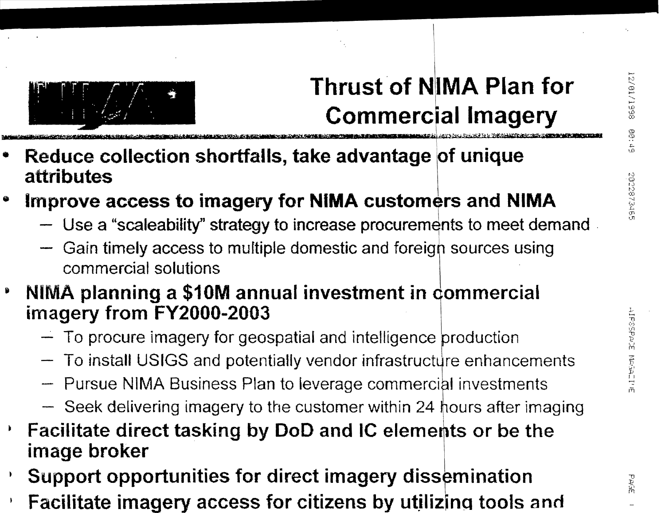

### **Thrust of NIMA Plan for Commercial Imagery**

- Reduce collection shortfalls, take advantage of unique attributes
- Improve access to imagery for NIMA customers and NIMA
	- Use a "scaleability" strategy to increase procurements to meet demand
	- Gain timely access to multiple domestic and foreigh sources using commercial solutions
- NIMA planning a \$10M annual investment in commercial 9 imagery from FY2000-2003
	- $-$  To procure imagery for geospatial and intelligence production
	- To install USIGS and potentially vendor infrastructure enhancements
	- Pursue NIMA Business Plan to leverage commercial investments
	- Seek delivering imagery to the customer within 24 hours after imaging
- Facilitate direct tasking by DoD and IC elements or be the image broker
- Support opportunities for direct imagery dissemination
- Facilitate imagery access for citizens by utilizing tools and

PAGE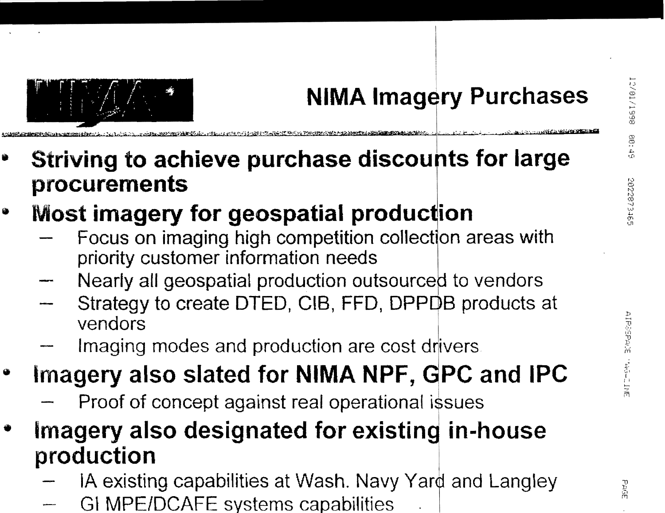

### **NIMA Imagery Purchases**

Striving to achieve purchase discounts for large Û procurements

#### **Most imagery for geospatial production** ♦

- Focus on imaging high competition collection areas with priority customer information needs
- Nearly all geospatial production outsourced to vendors
- Strategy to create DTED, CIB, FFD, DPPDB products at vendors
- Imaging modes and production are cost drivers
- Imagery also slated for NIMA NPF, GPC and IPC  $\bullet$ 
	- Proof of concept against real operational issues
- Imagery also designated for existing in-house production
	- IA existing capabilities at Wash. Navy Yard and Langley
	- GI MPE/DCAFE systems capabilities

PAGE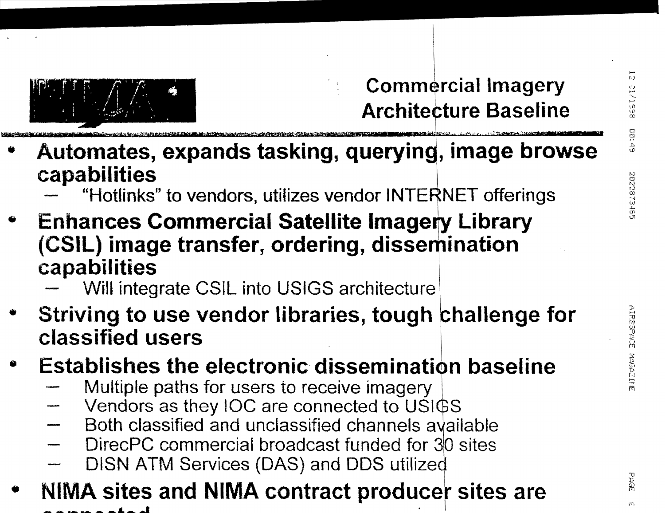

#### **Commercial Imagery Architecture Baseline**

- Automates, expands tasking, querying, image browse capabilities
	- "Hotlinks" to vendors, utilizes vendor INTERNET offerings
- **Enhances Commercial Satellite Imagery Library** (CSIL) image transfer, ordering, dissemination capabilities
	- Will integrate CSIL into USIGS architecture
- Striving to use vendor libraries, tough challenge for classified users
- **Establishes the electronic dissemination baseline** 
	- Multiple paths for users to receive imagery
	- Vendors as they IOC are connected to USIGS
	- Both classified and unclassified channels available
	- DirecPC commercial broadcast funded for 30 sites
	- DISN ATM Services (DAS) and DDS utilized
- NIMA sites and NIMA contract producer sites are

**PAGE**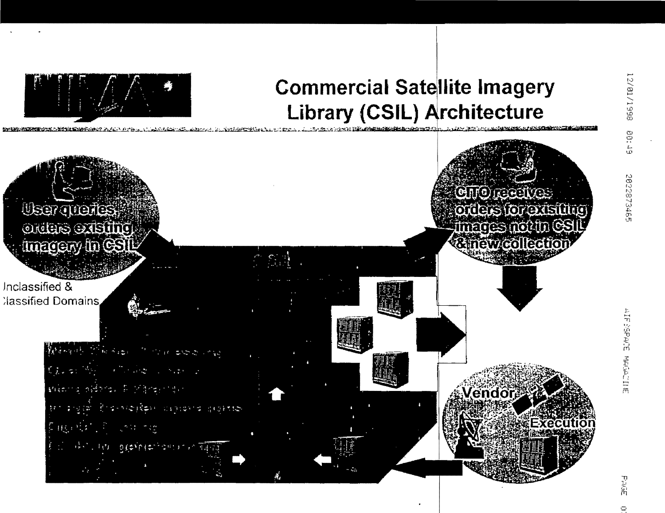

#### **Commercial Satellite Imagery Library (CSIL) Architecture**

 $710/7$ 

**User Treates** Orders Steing Interety in GSI

Inclassified & **Ilassified Domains** 

> แบ่งครั้ง สู่เอริงเล 样的  $0.0111$ entra e p

**CHORECUES** orders for existing images not in G<br>& new collectio

*l*endor

Executi

 $\ddot{\circ}$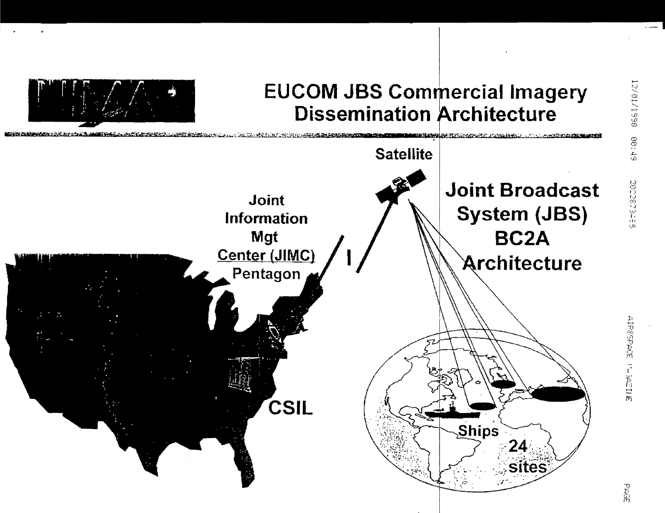

#### **EUCOM JBS Commercial Imagery Dissemination Architecture**



日に出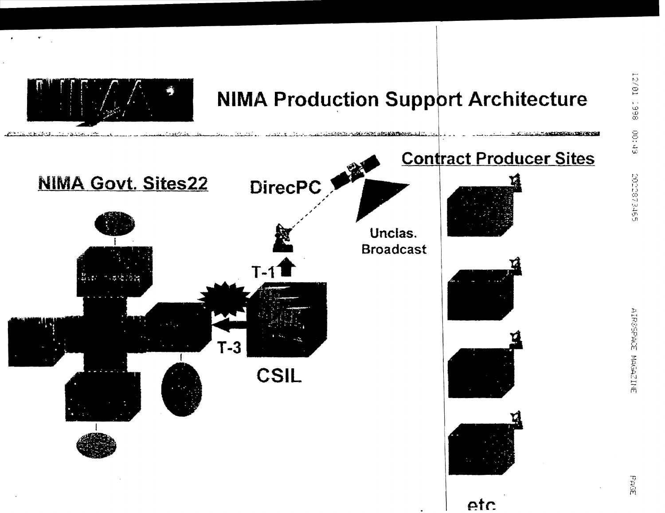

#### **NIMA Production Support Architecture**



玉け足